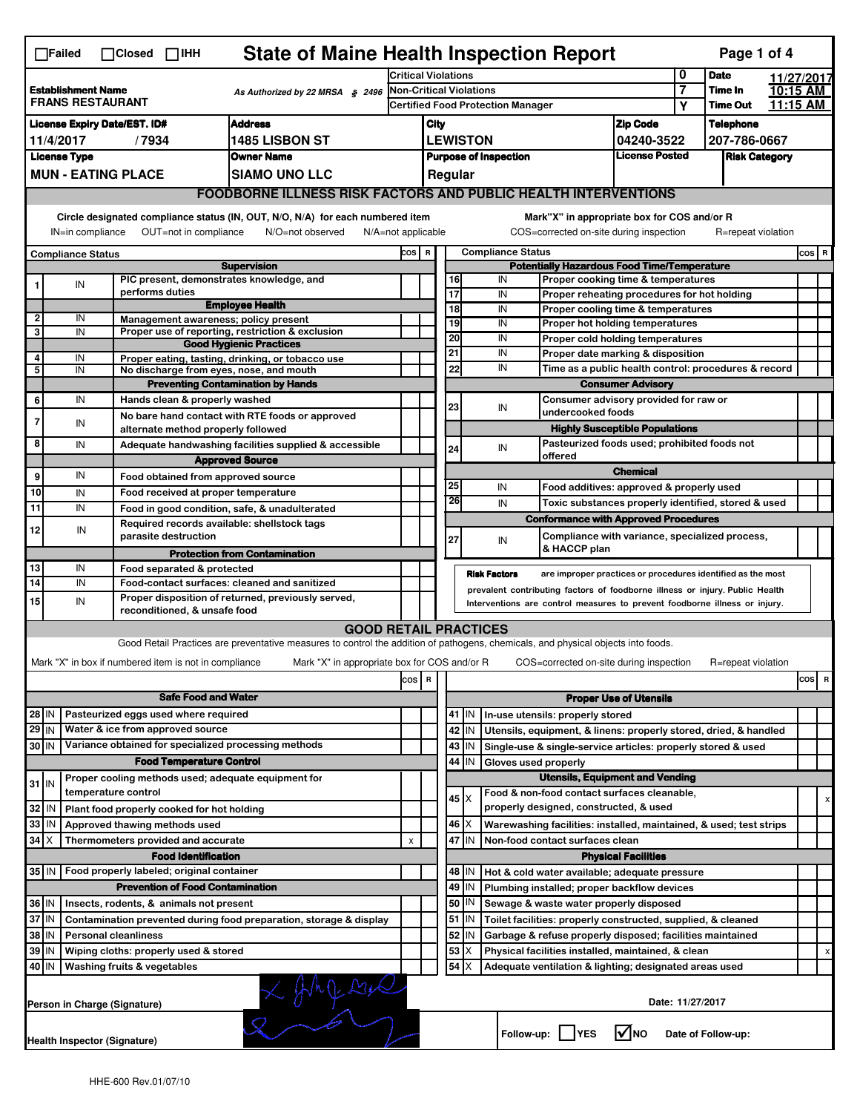| <b>State of Maine Health Inspection Report</b><br>Page 1 of 4<br>$\Box$ Failed<br>$\Box$ Closed $\Box$ IHH                                                                                                                                                                                |                                                                                            |    |                                                                     |                                                                                                                                   |                                                                       |                                                                                                                                                            |                                                                                       |               |                                                      |                                                                       |                 |                      |                    |         |     |   |  |
|-------------------------------------------------------------------------------------------------------------------------------------------------------------------------------------------------------------------------------------------------------------------------------------------|--------------------------------------------------------------------------------------------|----|---------------------------------------------------------------------|-----------------------------------------------------------------------------------------------------------------------------------|-----------------------------------------------------------------------|------------------------------------------------------------------------------------------------------------------------------------------------------------|---------------------------------------------------------------------------------------|---------------|------------------------------------------------------|-----------------------------------------------------------------------|-----------------|----------------------|--------------------|---------|-----|---|--|
|                                                                                                                                                                                                                                                                                           |                                                                                            |    |                                                                     |                                                                                                                                   | <b>Critical Violations</b>                                            |                                                                                                                                                            |                                                                                       |               |                                                      |                                                                       | 0               | <b>Date</b>          | 11/27/2017         |         |     |   |  |
|                                                                                                                                                                                                                                                                                           | <b>Establishment Name</b><br>As Authorized by 22 MRSA § 2496<br><b>FRANS RESTAURANT</b>    |    |                                                                     |                                                                                                                                   |                                                                       | Non-Critical Violations                                                                                                                                    |                                                                                       |               |                                                      |                                                                       | 7               | Time In              | 10:15 AM           |         |     |   |  |
|                                                                                                                                                                                                                                                                                           |                                                                                            |    |                                                                     |                                                                                                                                   |                                                                       | <b>Certified Food Protection Manager</b>                                                                                                                   |                                                                                       |               |                                                      |                                                                       | Υ               | <b>Time Out</b>      | 11:15 AM           |         |     |   |  |
| <b>Address</b><br><b>License Expiry Date/EST. ID#</b>                                                                                                                                                                                                                                     |                                                                                            |    |                                                                     |                                                                                                                                   |                                                                       | City                                                                                                                                                       |                                                                                       |               |                                                      | <b>Zip Code</b>                                                       |                 | <b>Telephone</b>     |                    |         |     |   |  |
| <b>1485 LISBON ST</b><br>11/4/2017<br>/7934                                                                                                                                                                                                                                               |                                                                                            |    |                                                                     |                                                                                                                                   |                                                                       | <b>LEWISTON</b><br>04240-3522                                                                                                                              |                                                                                       |               |                                                      |                                                                       | 207-786-0667    |                      |                    |         |     |   |  |
|                                                                                                                                                                                                                                                                                           | <b>License Type</b><br><b>Owner Name</b>                                                   |    |                                                                     |                                                                                                                                   |                                                                       | <b>License Posted</b><br><b>Purpose of Inspection</b>                                                                                                      |                                                                                       |               |                                                      |                                                                       |                 | <b>Risk Category</b> |                    |         |     |   |  |
|                                                                                                                                                                                                                                                                                           | <b>MUN - EATING PLACE</b><br><b>SIAMO UNO LLC</b>                                          |    |                                                                     |                                                                                                                                   |                                                                       |                                                                                                                                                            |                                                                                       | Regular       |                                                      |                                                                       |                 |                      |                    |         |     |   |  |
|                                                                                                                                                                                                                                                                                           | <b>FOODBORNE ILLNESS RISK FACTORS AND PUBLIC HEALTH INTERVENTIONS</b>                      |    |                                                                     |                                                                                                                                   |                                                                       |                                                                                                                                                            |                                                                                       |               |                                                      |                                                                       |                 |                      |                    |         |     |   |  |
| Circle designated compliance status (IN, OUT, N/O, N/A) for each numbered item<br>Mark"X" in appropriate box for COS and/or R<br>OUT=not in compliance<br>COS=corrected on-site during inspection<br>IN=in compliance<br>N/O=not observed<br>$N/A = not$ applicable<br>R=repeat violation |                                                                                            |    |                                                                     |                                                                                                                                   |                                                                       |                                                                                                                                                            |                                                                                       |               |                                                      |                                                                       |                 |                      |                    |         |     |   |  |
| <b>Compliance Status</b>                                                                                                                                                                                                                                                                  |                                                                                            |    |                                                                     |                                                                                                                                   |                                                                       | <b>Compliance Status</b><br>COS R                                                                                                                          |                                                                                       |               |                                                      |                                                                       |                 |                      |                    | $cos$ R |     |   |  |
| <b>Supervision</b>                                                                                                                                                                                                                                                                        |                                                                                            |    |                                                                     |                                                                                                                                   |                                                                       |                                                                                                                                                            | <b>Potentially Hazardous Food Time/Temperature</b>                                    |               |                                                      |                                                                       |                 |                      |                    |         |     |   |  |
|                                                                                                                                                                                                                                                                                           |                                                                                            | IN | PIC present, demonstrates knowledge, and                            |                                                                                                                                   |                                                                       |                                                                                                                                                            | 16                                                                                    |               | IN                                                   | Proper cooking time & temperatures                                    |                 |                      |                    |         |     |   |  |
|                                                                                                                                                                                                                                                                                           |                                                                                            |    | performs duties                                                     | <b>Employee Health</b>                                                                                                            |                                                                       |                                                                                                                                                            | $\overline{17}$                                                                       |               | IN                                                   | Proper reheating procedures for hot holding                           |                 |                      |                    |         |     |   |  |
| $\overline{2}$                                                                                                                                                                                                                                                                            |                                                                                            | IN | Management awareness; policy present                                |                                                                                                                                   |                                                                       |                                                                                                                                                            | $\overline{18}$<br>19                                                                 |               | IN<br>IN                                             | Proper cooling time & temperatures<br>Proper hot holding temperatures |                 |                      |                    |         |     |   |  |
| 3                                                                                                                                                                                                                                                                                         |                                                                                            | IN |                                                                     | Proper use of reporting, restriction & exclusion                                                                                  |                                                                       |                                                                                                                                                            | 20                                                                                    |               | IN                                                   |                                                                       |                 |                      |                    |         |     |   |  |
|                                                                                                                                                                                                                                                                                           |                                                                                            |    |                                                                     | <b>Good Hygienic Practices</b>                                                                                                    |                                                                       |                                                                                                                                                            | 21                                                                                    |               | IN                                                   | Proper cold holding temperatures<br>Proper date marking & disposition |                 |                      |                    |         |     |   |  |
| 4                                                                                                                                                                                                                                                                                         |                                                                                            | IN |                                                                     | Proper eating, tasting, drinking, or tobacco use                                                                                  |                                                                       |                                                                                                                                                            | 22                                                                                    |               | IN                                                   |                                                                       |                 |                      |                    |         |     |   |  |
| 5                                                                                                                                                                                                                                                                                         |                                                                                            | IN | No discharge from eyes, nose, and mouth                             | <b>Preventing Contamination by Hands</b>                                                                                          |                                                                       |                                                                                                                                                            |                                                                                       |               | Time as a public health control: procedures & record |                                                                       |                 |                      |                    |         |     |   |  |
|                                                                                                                                                                                                                                                                                           |                                                                                            | IN |                                                                     |                                                                                                                                   |                                                                       |                                                                                                                                                            |                                                                                       |               |                                                      | <b>Consumer Advisory</b>                                              |                 |                      |                    |         |     |   |  |
| 6                                                                                                                                                                                                                                                                                         |                                                                                            |    | Hands clean & properly washed                                       |                                                                                                                                   |                                                                       |                                                                                                                                                            | 23                                                                                    |               | IN                                                   | Consumer advisory provided for raw or<br>undercooked foods            |                 |                      |                    |         |     |   |  |
| 7                                                                                                                                                                                                                                                                                         |                                                                                            | IN | alternate method properly followed                                  | No bare hand contact with RTE foods or approved                                                                                   |                                                                       |                                                                                                                                                            |                                                                                       |               |                                                      | <b>Highly Susceptible Populations</b>                                 |                 |                      |                    |         |     |   |  |
| 8                                                                                                                                                                                                                                                                                         |                                                                                            | IN |                                                                     |                                                                                                                                   |                                                                       |                                                                                                                                                            |                                                                                       |               |                                                      |                                                                       |                 |                      |                    |         |     |   |  |
|                                                                                                                                                                                                                                                                                           |                                                                                            |    |                                                                     | Adequate handwashing facilities supplied & accessible<br><b>Approved Source</b>                                                   |                                                                       |                                                                                                                                                            | 24                                                                                    |               | IN                                                   | Pasteurized foods used; prohibited foods not<br>offered               |                 |                      |                    |         |     |   |  |
| 9                                                                                                                                                                                                                                                                                         |                                                                                            | IN |                                                                     |                                                                                                                                   |                                                                       |                                                                                                                                                            |                                                                                       |               |                                                      |                                                                       | <b>Chemical</b> |                      |                    |         |     |   |  |
|                                                                                                                                                                                                                                                                                           |                                                                                            |    | Food obtained from approved source                                  |                                                                                                                                   |                                                                       |                                                                                                                                                            | 25                                                                                    |               | IN                                                   | Food additives: approved & properly used                              |                 |                      |                    |         |     |   |  |
| 10                                                                                                                                                                                                                                                                                        |                                                                                            | IN | Food received at proper temperature                                 |                                                                                                                                   |                                                                       |                                                                                                                                                            | 26                                                                                    |               | IN                                                   | Toxic substances properly identified, stored & used                   |                 |                      |                    |         |     |   |  |
| 11                                                                                                                                                                                                                                                                                        |                                                                                            | IN |                                                                     | Food in good condition, safe, & unadulterated                                                                                     |                                                                       |                                                                                                                                                            |                                                                                       |               |                                                      | <b>Conformance with Approved Procedures</b>                           |                 |                      |                    |         |     |   |  |
| 12                                                                                                                                                                                                                                                                                        |                                                                                            | IN | Required records available: shellstock tags<br>parasite destruction |                                                                                                                                   |                                                                       |                                                                                                                                                            | 27                                                                                    |               | IN                                                   | Compliance with variance, specialized process,                        |                 |                      |                    |         |     |   |  |
|                                                                                                                                                                                                                                                                                           |                                                                                            |    |                                                                     | <b>Protection from Contamination</b>                                                                                              |                                                                       |                                                                                                                                                            |                                                                                       |               |                                                      | & HACCP plan                                                          |                 |                      |                    |         |     |   |  |
| 13                                                                                                                                                                                                                                                                                        |                                                                                            | IN | Food separated & protected                                          |                                                                                                                                   |                                                                       |                                                                                                                                                            |                                                                                       |               |                                                      |                                                                       |                 |                      |                    |         |     |   |  |
| $\overline{14}$                                                                                                                                                                                                                                                                           |                                                                                            | IN |                                                                     | Food-contact surfaces: cleaned and sanitized                                                                                      |                                                                       |                                                                                                                                                            |                                                                                       |               | <b>Risk Factors</b>                                  | are improper practices or procedures identified as the most           |                 |                      |                    |         |     |   |  |
| 15                                                                                                                                                                                                                                                                                        |                                                                                            | IN |                                                                     | Proper disposition of returned, previously served,                                                                                |                                                                       | prevalent contributing factors of foodborne illness or injury. Public Health<br>Interventions are control measures to prevent foodborne illness or injury. |                                                                                       |               |                                                      |                                                                       |                 |                      |                    |         |     |   |  |
|                                                                                                                                                                                                                                                                                           |                                                                                            |    | reconditioned, & unsafe food                                        |                                                                                                                                   |                                                                       |                                                                                                                                                            |                                                                                       |               |                                                      |                                                                       |                 |                      |                    |         |     |   |  |
|                                                                                                                                                                                                                                                                                           |                                                                                            |    |                                                                     | <b>GOOD RETAIL PRACTICES</b>                                                                                                      |                                                                       |                                                                                                                                                            |                                                                                       |               |                                                      |                                                                       |                 |                      |                    |         |     |   |  |
|                                                                                                                                                                                                                                                                                           |                                                                                            |    |                                                                     | Good Retail Practices are preventative measures to control the addition of pathogens, chemicals, and physical objects into foods. |                                                                       |                                                                                                                                                            |                                                                                       |               |                                                      |                                                                       |                 |                      |                    |         |     |   |  |
|                                                                                                                                                                                                                                                                                           |                                                                                            |    | Mark "X" in box if numbered item is not in compliance               | Mark "X" in appropriate box for COS and/or R                                                                                      |                                                                       |                                                                                                                                                            |                                                                                       |               |                                                      | COS=corrected on-site during inspection                               |                 |                      | R=repeat violation |         |     |   |  |
|                                                                                                                                                                                                                                                                                           |                                                                                            |    |                                                                     |                                                                                                                                   | cos                                                                   | R                                                                                                                                                          |                                                                                       |               |                                                      |                                                                       |                 |                      |                    |         | cos | R |  |
|                                                                                                                                                                                                                                                                                           |                                                                                            |    |                                                                     |                                                                                                                                   |                                                                       |                                                                                                                                                            |                                                                                       |               |                                                      |                                                                       |                 |                      |                    |         |     |   |  |
| <b>Safe Food and Water</b><br>Pasteurized eggs used where required<br>28 IN                                                                                                                                                                                                               |                                                                                            |    |                                                                     |                                                                                                                                   |                                                                       | <b>Proper Use of Utensils</b><br>41   IN<br>In-use utensils: properly stored                                                                               |                                                                                       |               |                                                      |                                                                       |                 |                      |                    |         |     |   |  |
| 29 IN                                                                                                                                                                                                                                                                                     |                                                                                            |    | Water & ice from approved source                                    |                                                                                                                                   |                                                                       |                                                                                                                                                            |                                                                                       |               |                                                      |                                                                       |                 |                      |                    |         |     |   |  |
|                                                                                                                                                                                                                                                                                           |                                                                                            |    | Variance obtained for specialized processing methods                |                                                                                                                                   |                                                                       |                                                                                                                                                            |                                                                                       | 42 IN         |                                                      | Utensils, equipment, & linens: properly stored, dried, & handled      |                 |                      |                    |         |     |   |  |
| 30 IN                                                                                                                                                                                                                                                                                     |                                                                                            |    |                                                                     |                                                                                                                                   |                                                                       |                                                                                                                                                            |                                                                                       | 43   IN       |                                                      | Single-use & single-service articles: properly stored & used          |                 |                      |                    |         |     |   |  |
|                                                                                                                                                                                                                                                                                           |                                                                                            |    | <b>Food Temperature Control</b>                                     |                                                                                                                                   |                                                                       |                                                                                                                                                            | 44                                                                                    | IN            | Gloves used properly                                 |                                                                       |                 |                      |                    |         |     |   |  |
| $31$ IN                                                                                                                                                                                                                                                                                   |                                                                                            |    | Proper cooling methods used; adequate equipment for                 |                                                                                                                                   |                                                                       |                                                                                                                                                            | <b>Utensils, Equipment and Vending</b><br>Food & non-food contact surfaces cleanable, |               |                                                      |                                                                       |                 |                      |                    |         |     |   |  |
|                                                                                                                                                                                                                                                                                           |                                                                                            |    | temperature control                                                 |                                                                                                                                   |                                                                       |                                                                                                                                                            |                                                                                       | $45 \times$   |                                                      |                                                                       |                 |                      |                    |         |     | х |  |
| 32                                                                                                                                                                                                                                                                                        | IN                                                                                         |    | Plant food properly cooked for hot holding                          |                                                                                                                                   |                                                                       |                                                                                                                                                            |                                                                                       |               |                                                      | properly designed, constructed, & used                                |                 |                      |                    |         |     |   |  |
| 33 IN                                                                                                                                                                                                                                                                                     |                                                                                            |    | Approved thawing methods used                                       |                                                                                                                                   |                                                                       |                                                                                                                                                            |                                                                                       | 46   X        |                                                      | Warewashing facilities: installed, maintained, & used; test strips    |                 |                      |                    |         |     |   |  |
| $34$ $\times$                                                                                                                                                                                                                                                                             |                                                                                            |    | Thermometers provided and accurate                                  |                                                                                                                                   | X                                                                     |                                                                                                                                                            | 47                                                                                    | İIN           |                                                      | Non-food contact surfaces clean                                       |                 |                      |                    |         |     |   |  |
|                                                                                                                                                                                                                                                                                           |                                                                                            |    | <b>Food Identification</b>                                          |                                                                                                                                   |                                                                       | <b>Physical Facilities</b>                                                                                                                                 |                                                                                       |               |                                                      |                                                                       |                 |                      |                    |         |     |   |  |
| 35   IN                                                                                                                                                                                                                                                                                   |                                                                                            |    | Food properly labeled; original container                           |                                                                                                                                   |                                                                       |                                                                                                                                                            |                                                                                       | 48   IN       |                                                      | Hot & cold water available; adequate pressure                         |                 |                      |                    |         |     |   |  |
|                                                                                                                                                                                                                                                                                           |                                                                                            |    | <b>Prevention of Food Contamination</b>                             |                                                                                                                                   |                                                                       |                                                                                                                                                            |                                                                                       | 49 IN         |                                                      | Plumbing installed; proper backflow devices                           |                 |                      |                    |         |     |   |  |
| 36 IN                                                                                                                                                                                                                                                                                     |                                                                                            |    | Insects, rodents, & animals not present                             |                                                                                                                                   |                                                                       |                                                                                                                                                            |                                                                                       | 50   IN       |                                                      | Sewage & waste water properly disposed                                |                 |                      |                    |         |     |   |  |
| 37 IN                                                                                                                                                                                                                                                                                     |                                                                                            |    |                                                                     | Contamination prevented during food preparation, storage & display                                                                |                                                                       |                                                                                                                                                            |                                                                                       | 51   IN       |                                                      | Toilet facilities: properly constructed, supplied, & cleaned          |                 |                      |                    |         |     |   |  |
| 38 IN                                                                                                                                                                                                                                                                                     |                                                                                            |    | <b>Personal cleanliness</b>                                         |                                                                                                                                   | 52<br>Garbage & refuse properly disposed; facilities maintained<br>IN |                                                                                                                                                            |                                                                                       |               |                                                      |                                                                       |                 |                      |                    |         |     |   |  |
| 39 IN<br>Wiping cloths: properly used & stored                                                                                                                                                                                                                                            |                                                                                            |    |                                                                     |                                                                                                                                   |                                                                       | 53                                                                                                                                                         | Х                                                                                     |               | Physical facilities installed, maintained, & clean   |                                                                       |                 |                      |                    |         |     |   |  |
| 40 IN                                                                                                                                                                                                                                                                                     |                                                                                            |    | Washing fruits & vegetables                                         |                                                                                                                                   |                                                                       |                                                                                                                                                            |                                                                                       | $54$ $\times$ |                                                      | Adequate ventilation & lighting; designated areas used                |                 |                      |                    |         |     |   |  |
|                                                                                                                                                                                                                                                                                           | $X$ frage $X$<br>Date: 11/27/2017<br>Person in Charge (Signature)                          |    |                                                                     |                                                                                                                                   |                                                                       |                                                                                                                                                            |                                                                                       |               |                                                      |                                                                       |                 |                      |                    |         |     |   |  |
|                                                                                                                                                                                                                                                                                           | l√lno<br>Follow-up:  <br><b>IYES</b><br>Date of Follow-up:<br>Health Inspector (Signature) |    |                                                                     |                                                                                                                                   |                                                                       |                                                                                                                                                            |                                                                                       |               |                                                      |                                                                       |                 |                      |                    |         |     |   |  |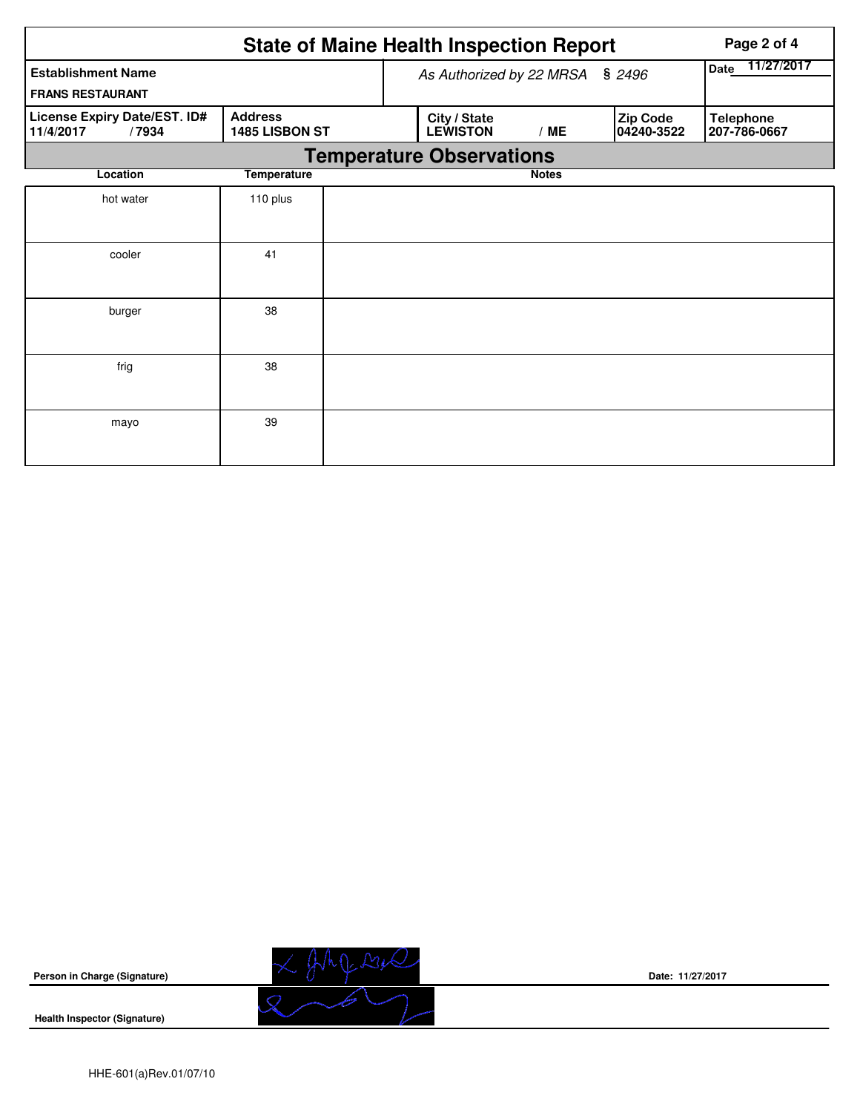|                                                      |                                  |                    | <b>State of Maine Health Inspection Report</b> | Page 2 of 4  |  |                        |                                  |  |  |  |
|------------------------------------------------------|----------------------------------|--------------------|------------------------------------------------|--------------|--|------------------------|----------------------------------|--|--|--|
| <b>Establishment Name</b><br><b>FRANS RESTAURANT</b> | As Authorized by 22 MRSA         | 11/27/2017<br>Date |                                                |              |  |                        |                                  |  |  |  |
| License Expiry Date/EST. ID#<br>11/4/2017<br>/7934   | <b>Address</b><br>1485 LISBON ST |                    | City / State<br><b>LEWISTON</b>                | /ME          |  | Zip Code<br>04240-3522 | <b>Telephone</b><br>207-786-0667 |  |  |  |
| <b>Temperature Observations</b>                      |                                  |                    |                                                |              |  |                        |                                  |  |  |  |
| Location                                             | <b>Temperature</b>               |                    |                                                | <b>Notes</b> |  |                        |                                  |  |  |  |
| hot water                                            | 110 plus                         |                    |                                                |              |  |                        |                                  |  |  |  |
| cooler                                               | 41                               |                    |                                                |              |  |                        |                                  |  |  |  |
| burger                                               | 38                               |                    |                                                |              |  |                        |                                  |  |  |  |
| frig                                                 | 38                               |                    |                                                |              |  |                        |                                  |  |  |  |
| mayo                                                 | 39                               |                    |                                                |              |  |                        |                                  |  |  |  |



**Date: 11/27/2017**

**Health Inspector (Signature)**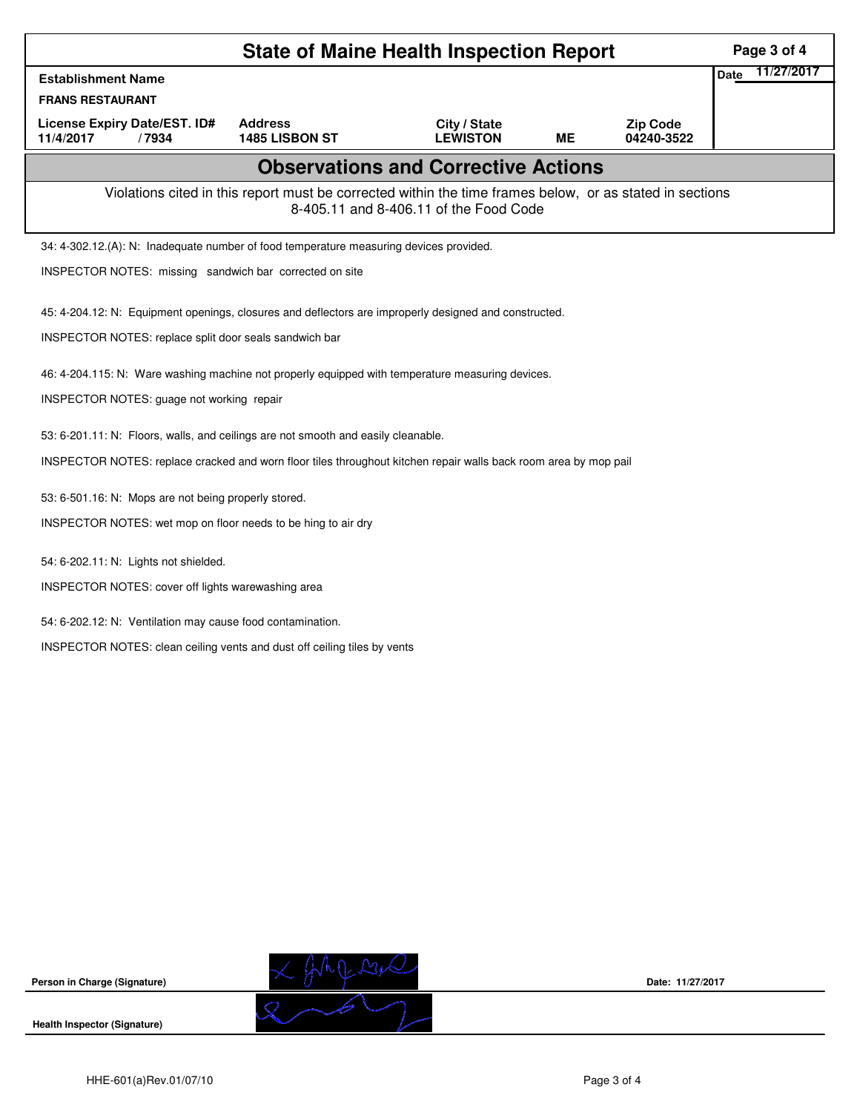|                                                                                                                                                    | Page 3 of 4                      |                                 |           |                               |                           |  |  |  |  |
|----------------------------------------------------------------------------------------------------------------------------------------------------|----------------------------------|---------------------------------|-----------|-------------------------------|---------------------------|--|--|--|--|
| <b>Establishment Name</b>                                                                                                                          |                                  |                                 |           |                               | 11/27/2017<br><b>Date</b> |  |  |  |  |
| <b>FRANS RESTAURANT</b>                                                                                                                            |                                  |                                 |           |                               |                           |  |  |  |  |
| License Expiry Date/EST. ID#<br>11/4/2017<br>/7934                                                                                                 | <b>Address</b><br>1485 LISBON ST | City / State<br><b>LEWISTON</b> | <b>ME</b> | <b>Zip Code</b><br>04240-3522 |                           |  |  |  |  |
| <b>Observations and Corrective Actions</b>                                                                                                         |                                  |                                 |           |                               |                           |  |  |  |  |
| Violations cited in this report must be corrected within the time frames below, or as stated in sections<br>8-405.11 and 8-406.11 of the Food Code |                                  |                                 |           |                               |                           |  |  |  |  |
| 34: 4-302.12.(A): N: Inadequate number of food temperature measuring devices provided.                                                             |                                  |                                 |           |                               |                           |  |  |  |  |
| INSPECTOR NOTES: missing sandwich bar corrected on site                                                                                            |                                  |                                 |           |                               |                           |  |  |  |  |
| 45: 4-204.12: N: Equipment openings, closures and deflectors are improperly designed and constructed.                                              |                                  |                                 |           |                               |                           |  |  |  |  |
| INSPECTOR NOTES: replace split door seals sandwich bar                                                                                             |                                  |                                 |           |                               |                           |  |  |  |  |
| 46: 4-204.115: N: Ware washing machine not properly equipped with temperature measuring devices.                                                   |                                  |                                 |           |                               |                           |  |  |  |  |
| INSPECTOR NOTES: guage not working repair                                                                                                          |                                  |                                 |           |                               |                           |  |  |  |  |
| 53: 6-201.11: N: Floors, walls, and ceilings are not smooth and easily cleanable.                                                                  |                                  |                                 |           |                               |                           |  |  |  |  |
| INSPECTOR NOTES: replace cracked and worn floor tiles throughout kitchen repair walls back room area by mop pail                                   |                                  |                                 |           |                               |                           |  |  |  |  |
| 53: 6-501.16: N: Mops are not being properly stored.                                                                                               |                                  |                                 |           |                               |                           |  |  |  |  |
| INSPECTOR NOTES: wet mop on floor needs to be hing to air dry                                                                                      |                                  |                                 |           |                               |                           |  |  |  |  |
| 54: 6-202.11: N: Lights not shielded.                                                                                                              |                                  |                                 |           |                               |                           |  |  |  |  |
| INSPECTOR NOTES: cover off lights warewashing area                                                                                                 |                                  |                                 |           |                               |                           |  |  |  |  |
| 54: 6-202.12: N: Ventilation may cause food contamination.                                                                                         |                                  |                                 |           |                               |                           |  |  |  |  |
| INSPECTOR NOTES: clean ceiling vents and dust off ceiling tiles by vents                                                                           |                                  |                                 |           |                               |                           |  |  |  |  |
|                                                                                                                                                    |                                  |                                 |           |                               |                           |  |  |  |  |
|                                                                                                                                                    |                                  |                                 |           |                               |                           |  |  |  |  |
|                                                                                                                                                    |                                  |                                 |           |                               |                           |  |  |  |  |
|                                                                                                                                                    |                                  |                                 |           |                               |                           |  |  |  |  |





**Date: 11/27/2017**

**Health Inspector (Signature)**